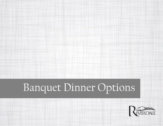# Banquet Dinner Options

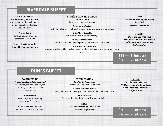# **RIVERDALE BUFFET**

#### **SALAD STATION**

*Fresh Strawberry Balsamic Salad* Mix greens, candied walnuts, red onion, goat cheese & sliced strawberries

> *Caesar Salad* Romaine, Caesar dressing, parmesan & croutons

Served with ciabatta rolls, whipped butter and dipping oil

### **ENTRÉE & CARVING STATION**

*Carved NY Strip* Au jus and horseradish sauce

*Champagne Chicken* Herb marinated chicken breast topped with a champagne cream sauce

> *Grilled Beef Coulotte* Red wine jus and crisp onion strings

*Pomegranate Salmon* Grilled salmon fillet with a pomegranate beurre blanc sauce

*Tri Color Tortellini Carbonara* Cheese tortellini, grilled chicken breast, apple wood bacon, in a parmesan cream

sauce

**SIDES** *Three Cheese Whipped Potatoes Rice Pilaf Seasonal Vegetables*

**DESSERT** *Chocolate Ganache Cake NY Cheesecake with Berry Sauce White Chocolate Carrot Cake Coffee station*

 $\frac{1}{5}34 + \frac{1}{3}$  Entrees) \$30 ++ (2 Entrees)

## **DUNES BUFFET**

#### **SALAD STATION**

*Fresh Strawberry Balsamic Salad* Mix greens, candied walnuts, red onion, goat cheese & sliced strawberries

> *Caesar Salad* Romaine, Caesar dressing, parmesan & croutons

Served with ciabatta rolls, whipped butter and dipping oil

## **ENTRÉE STATION**

*Whiskey Grilled Salmon* Served with Whiskey Pecan Butter

*Achiote Rubbed Chicken* Mild chili rub with pineapple salsa and lime cilantro butter sauce

> *Pork Marsala* Pan seared scaloppini with mushroom demi-glace

> > **SIDES** *Three Cheese Whipped Potatoes Seasonal Vegetables*

**DESSERT** *Chocolate Ganache Cake NY Cheesecake with Berry Sauce White Chocolate Carrot Cake Coffee station*

\$30 ++ (3 Entrees) \$26 ++ (2 Entrees)